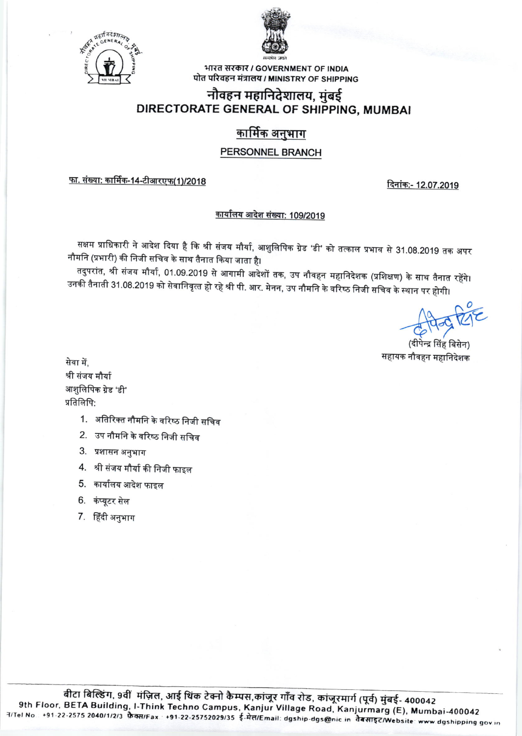



भारत सरकार / GOVERNMENT OF INDIA पोत परिवहन मंत्रालय / MINISTRY OF SHIPPING

### नौवहन महानिदेशालय, मुंबई DIRECTORATE GENERAL OF SHIPPING, MUMBAI

## <u>कार्मिक अनुभाग</u>

### PERSONNEL BRANCH

<u>फा. संख्या: कार्मिक-14-टीआरएफ(1)/2018</u>

दिनांक:- 12.07.2019

#### कार्यालय आदेश संख्या: 109/2019

सक्षम प्राधिकारी ने आदेश दिया है कि श्री संजय मौर्या, आशुलिपिक ग्रेड 'डी' को तत्काल प्रभाव से 31.08.2019 तक अपर नौमनि (प्रभारी) की निजी सचिव के साथ तैनात किया जाता है।

तदुपरांत, श्री संजय मौर्या, 01.09.2019 से आगामी आदेशों तक, उप नौवहन महानिदेशक (प्रशिक्षण) के साथ तैनात रहेंगे। उनकी तैनाती 31.08.2019 को सेवानिवृत्त हो रहे श्री पी. आर. मेनन, उप नौमनि के वरिष्ठ निजी सचिव के स्थान पर होगी।

न्द्र सिंह बिसेन) सहायक नौवहन महानिदेशक

सेवा में. श्री संजय मौर्या आशुलिपिक ग्रेड 'डी' प्रतिलिपि:

- 1. अतिरिक्त नौमनि के वरिष्ठ निजी सचिव
- 2. उप नौमनि के वरिष्ठ निजी सचिव
- 3. प्रशासन अनुभाग
- 4. श्री संजय मौर्या की निजी फाइल
- 5. कार्यालय आदेश फाइल
- 6. कंप्यूटर सेल
- 7. हिंदी अनुभाग